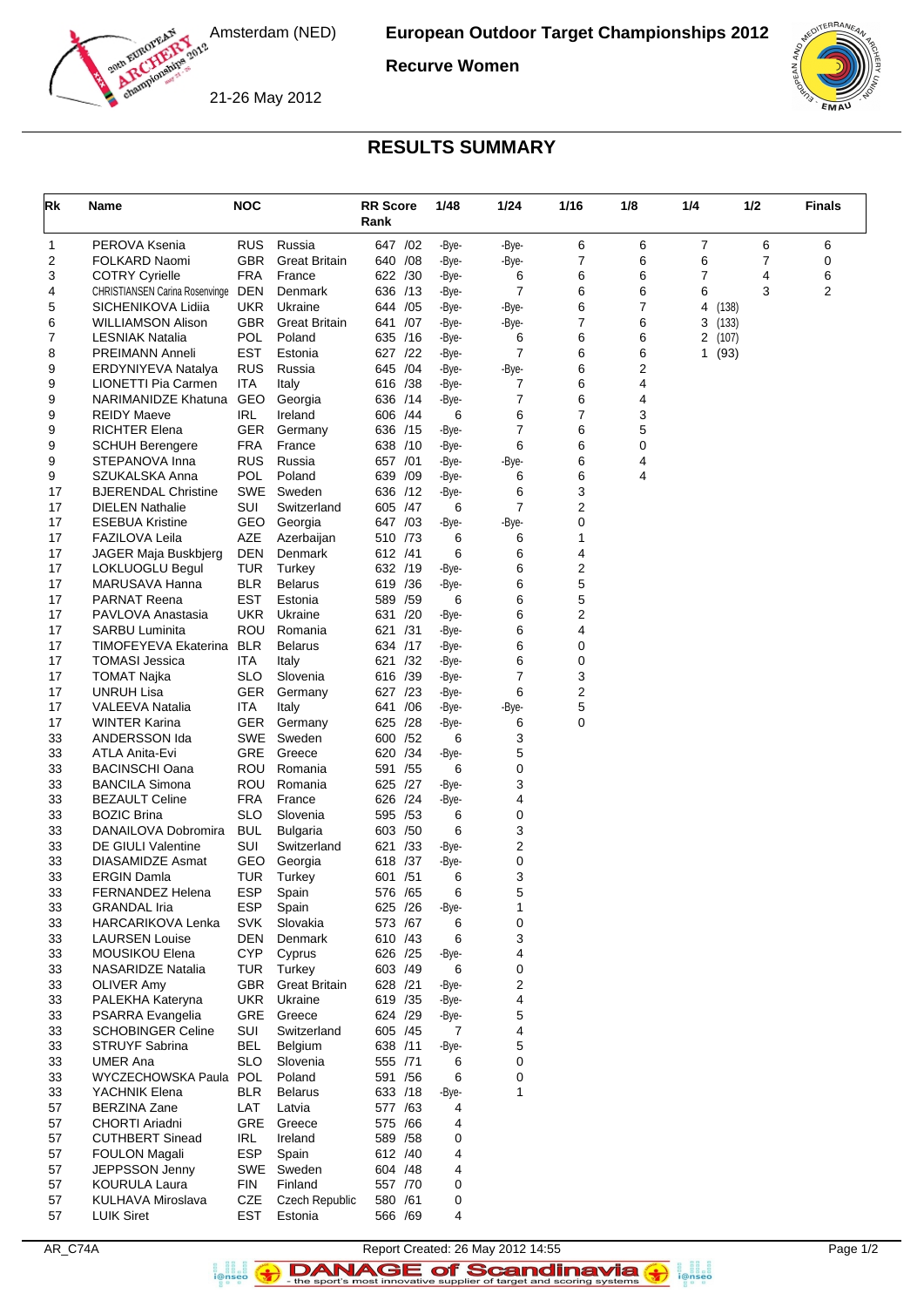

**Recurve Women**

21-26 May 2012



## **RESULTS SUMMARY**

| Rk       | Name                                             | <b>NOC</b>               |                                | <b>RR Score</b><br>Rank |     | 1/48           | 1/24                | 1/16   | 1/8    | 1/4    | 1/2           | <b>Finals</b> |
|----------|--------------------------------------------------|--------------------------|--------------------------------|-------------------------|-----|----------------|---------------------|--------|--------|--------|---------------|---------------|
| 1        | PEROVA Ksenia                                    | <b>RUS</b>               | Russia                         | 647 / 02                |     | -Bye-          | -Bye-               | 6      | 6      | 7      | 6             | 6             |
| 2        | FOLKARD Naomi                                    | <b>GBR</b>               | <b>Great Britain</b>           | 640                     | /08 | -Bye-          | -Bye-               | 7      | 6      | 6      | 7             | 0             |
| 3        | <b>COTRY Cyrielle</b>                            | FRA                      | France                         | 622 /30                 |     | -Bye-          | 6                   | 6      | 6      | 7      | 4             | 6             |
| 4        | <b>CHRISTIANSEN Carina Rosenvinge</b>            | <b>DEN</b>               | Denmark                        | 636                     | /13 | -Bye-          | 7                   | 6      | 6      | 6      | 3             | 2             |
| 5        | SICHENIKOVA Lidiia                               | <b>UKR</b>               | Ukraine                        | 644                     | /05 | -Bye-          | -Bye-               | 6      | 7      | 4      | (138)         |               |
| 6        | WILLIAMSON Alison                                | GBR                      | <b>Great Britain</b><br>Poland | 641                     | /07 | -Bye-          | -Bye-               | 7      | 6      | 3      | (133)         |               |
| 7<br>8   | <b>LESNIAK Natalia</b><br><b>PREIMANN Anneli</b> | POL<br>EST               | Estonia                        | 635<br>627 /22          | /16 | -Bye-<br>-Bye- | 6<br>$\overline{7}$ | 6<br>6 | 6<br>6 | 2<br>1 | (107)<br>(93) |               |
| 9        | ERDYNIYEVA Natalya                               | <b>RUS</b>               | Russia                         | 645 /04                 |     | -Bye-          | -Bye-               | 6      | 2      |        |               |               |
| 9        | LIONETTI Pia Carmen                              | <b>ITA</b>               | Italy                          | 616 /38                 |     | -Bye-          | 7                   | 6      | 4      |        |               |               |
| 9        | NARIMANIDZE Khatuna                              | <b>GEO</b>               | Georgia                        | 636 /14                 |     | -Bye-          | 7                   | 6      | 4      |        |               |               |
| 9        | <b>REIDY Maeve</b>                               | IRL                      | Ireland                        | 606 /44                 |     | 6              | 6                   | 7      | 3      |        |               |               |
| 9        | <b>RICHTER Elena</b>                             | GER                      | Germany                        | 636                     | /15 | -Bye-          | $\overline{7}$      | 6      | 5      |        |               |               |
| 9        | <b>SCHUH Berengere</b>                           | FRA                      | France                         | 638 /10                 |     | -Bye-          | 6                   | 6      | 0      |        |               |               |
| 9<br>9   | STEPANOVA Inna<br>SZUKALSKA Anna                 | <b>RUS</b><br>POL        | Russia<br>Poland               | 657 /01<br>639          | /09 | -Bye-<br>-Bye- | -Bye-<br>6          | 6<br>6 | 4<br>4 |        |               |               |
| 17       | <b>BJERENDAL Christine</b>                       | SWE                      | Sweden                         | 636 /12                 |     | -Bye-          | 6                   | 3      |        |        |               |               |
| 17       | <b>DIELEN Nathalie</b>                           | <b>SUI</b>               | Switzerland                    | 605                     | /47 | 6              | $\overline{7}$      | 2      |        |        |               |               |
| 17       | <b>ESEBUA Kristine</b>                           | <b>GEO</b>               | Georgia                        | 647                     | /03 | -Bye-          | -Bye-               | 0      |        |        |               |               |
| 17       | <b>FAZILOVA Leila</b>                            | AZE                      | Azerbaijan                     | 510 /73                 |     | 6              | 6                   | 1      |        |        |               |               |
| 17       | JAGER Maja Buskbjerg                             | <b>DEN</b>               | Denmark                        | 612 /41                 |     | 6              | 6                   | 4      |        |        |               |               |
| 17       | <b>LOKLUOGLU Begul</b>                           | <b>TUR</b>               | Turkey                         | 632 /19                 |     | -Bye-          | 6                   | 2      |        |        |               |               |
| 17       | MARUSAVA Hanna                                   | <b>BLR</b>               | <b>Belarus</b>                 | 619 / 36                |     | -Bye-          | 6                   | 5      |        |        |               |               |
| 17       | <b>PARNAT Reena</b>                              | EST                      | Estonia                        | 589                     | /59 | 6              | 6                   | 5      |        |        |               |               |
| 17<br>17 | PAVLOVA Anastasia<br><b>SARBU Luminita</b>       | UKR<br>ROU               | Ukraine<br>Romania             | 631<br>621 /31          | /20 | -Bye-<br>-Bye- | 6<br>6              | 2<br>4 |        |        |               |               |
| 17       | TIMOFEYEVA Ekaterina                             | <b>BLR</b>               | <b>Belarus</b>                 | 634 /17                 |     | -Bye-          | 6                   | 0      |        |        |               |               |
| 17       | <b>TOMASI Jessica</b>                            | ITA                      | Italy                          | 621                     | /32 | -Bye-          | 6                   | 0      |        |        |               |               |
| 17       | <b>TOMAT Najka</b>                               | SLO                      | Slovenia                       | 616 /39                 |     | -Bye-          | 7                   | 3      |        |        |               |               |
| 17       | <b>UNRUH Lisa</b>                                | GER                      | Germany                        | 627                     | /23 | -Bye-          | 6                   | 2      |        |        |               |               |
| 17       | <b>VALEEVA Natalia</b>                           | ITA                      | Italy                          | 641                     | /06 | -Bye-          | -Bye-               | 5      |        |        |               |               |
| 17       | <b>WINTER Karina</b>                             | GER.                     | Germany                        | 625                     | /28 | -Bye-          | 6                   | 0      |        |        |               |               |
| 33       | ANDERSSON Ida                                    | SWE                      | Sweden                         | 600                     | /52 | 6              | 3                   |        |        |        |               |               |
| 33<br>33 | ATLA Anita-Evi<br><b>BACINSCHI Oana</b>          | GRE<br><b>ROU</b>        | Greece<br>Romania              | 620 /34<br>591 /55      |     | -Bye-<br>6     | 5<br>0              |        |        |        |               |               |
| 33       | <b>BANCILA Simona</b>                            | ROU                      | Romania                        | 625                     | /27 | -Bye-          | 3                   |        |        |        |               |               |
| 33       | <b>BEZAULT Celine</b>                            | FRA                      | France                         | 626 /24                 |     | -Bye-          | 4                   |        |        |        |               |               |
| 33       | <b>BOZIC Brina</b>                               | <b>SLO</b>               | Slovenia                       | 595 /53                 |     | 6              | 0                   |        |        |        |               |               |
| 33       | DANAILOVA Dobromira                              | <b>BUL</b>               | <b>Bulgaria</b>                | 603                     | /50 | 6              | 3                   |        |        |        |               |               |
| 33       | DE GIULI Valentine                               | <b>SUI</b>               | Switzerland                    | 621                     | /33 | -Bye-          | 2                   |        |        |        |               |               |
| 33       | <b>DIASAMIDZE Asmat</b>                          | GEO                      | Georgia                        | 618                     | /37 | -Bye-          | 0                   |        |        |        |               |               |
| 33       | <b>ERGIN Damla</b>                               | TUR                      | Turkey                         | 601 / 51                |     | 6              | 3                   |        |        |        |               |               |
| 33       | FERNANDEZ Helena                                 | <b>ESP</b>               | Spain                          | 576 / 65<br>625 /26     |     | 6              | 5                   |        |        |        |               |               |
| 33<br>33 | <b>GRANDAL Iria</b><br><b>HARCARIKOVA Lenka</b>  | <b>ESP</b><br><b>SVK</b> | Spain<br>Slovakia              | 573 /67                 |     | -Bye-<br>6     | 1<br>0              |        |        |        |               |               |
| 33       | <b>LAURSEN Louise</b>                            | DEN                      | Denmark                        | 610 /43                 |     | 6              | 3                   |        |        |        |               |               |
| 33       | MOUSIKOU Elena                                   | <b>CYP</b>               | Cyprus                         | 626 /25                 |     | -Bye-          | 4                   |        |        |        |               |               |
| 33       | <b>NASARIDZE Natalia</b>                         | TUR                      | Turkey                         | 603 /49                 |     | 6              | 0                   |        |        |        |               |               |
| 33       | OLIVER Amy                                       | GBR                      | <b>Great Britain</b>           | 628 /21                 |     | -Bye-          | 2                   |        |        |        |               |               |
| 33       | PALEKHA Kateryna                                 | UKR                      | Ukraine                        | 619 / 35                |     | -Bye-          | 4                   |        |        |        |               |               |
| 33       | PSARRA Evangelia                                 | GRE                      | Greece                         | 624 /29                 |     | -Bye-          | 5                   |        |        |        |               |               |
| 33       | <b>SCHOBINGER Celine</b>                         | SUI                      | Switzerland                    | 605 / 45                |     | 7              | 4                   |        |        |        |               |               |
| 33       | <b>STRUYF Sabrina</b>                            | <b>BEL</b>               | Belgium                        | 638 /11                 |     | -Bye-          | 5                   |        |        |        |               |               |
| 33<br>33 | <b>UMER Ana</b><br>WYCZECHOWSKA Paula            | SLO<br>POL               | Slovenia<br>Poland             | 555 /71<br>591 /56      |     | 6<br>6         | 0<br>0              |        |        |        |               |               |
| 33       | YACHNIK Elena                                    | BLR.                     | <b>Belarus</b>                 | 633 /18                 |     | -Bye-          | $\mathbf{1}$        |        |        |        |               |               |
| 57       | <b>BERZINA Zane</b>                              | LAT                      | Latvia                         | 577 /63                 |     | 4              |                     |        |        |        |               |               |
| 57       | CHORTI Ariadni                                   | GRE                      | Greece                         | 575 /66                 |     | 4              |                     |        |        |        |               |               |
| 57       | <b>CUTHBERT Sinead</b>                           | IRL                      | Ireland                        | 589 / 58                |     | 0              |                     |        |        |        |               |               |
| 57       | <b>FOULON Magali</b>                             | <b>ESP</b>               | Spain                          | 612 /40                 |     | 4              |                     |        |        |        |               |               |
| 57       | JEPPSSON Jenny                                   | SWE                      | Sweden                         | 604 / 48                |     | 4              |                     |        |        |        |               |               |
| 57       | <b>KOURULA Laura</b>                             | FIN                      | Finland                        | 557 /70                 |     | 0              |                     |        |        |        |               |               |
| 57       | <b>KULHAVA Miroslava</b>                         | CZE                      | <b>Czech Republic</b>          | 580 /61                 |     | 0              |                     |        |        |        |               |               |
| 57       | <b>LUIK Siret</b>                                | EST                      | Estonia                        | 566 /69                 |     | 4              |                     |        |        |        |               |               |

AR\_C74A Report Created: 26 May 2012 14:55 Page 1/2 DANAGE of Scandinavia

a anglica<br>i@nseo